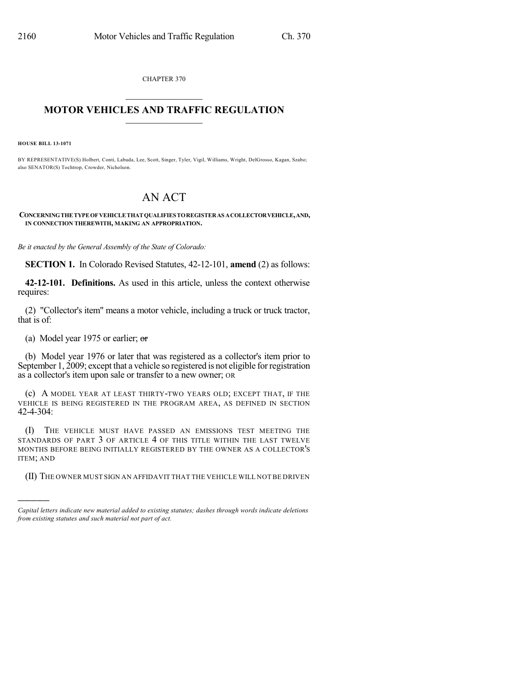CHAPTER 370

## $\mathcal{L}_\text{max}$  . The set of the set of the set of the set of the set of the set of the set of the set of the set of the set of the set of the set of the set of the set of the set of the set of the set of the set of the set **MOTOR VEHICLES AND TRAFFIC REGULATION**  $\frac{1}{2}$  ,  $\frac{1}{2}$  ,  $\frac{1}{2}$  ,  $\frac{1}{2}$  ,  $\frac{1}{2}$  ,  $\frac{1}{2}$  ,  $\frac{1}{2}$

**HOUSE BILL 13-1071**

)))))

BY REPRESENTATIVE(S) Holbert, Conti, Labuda, Lee, Scott, Singer, Tyler, Vigil, Williams, Wright, DelGrosso, Kagan, Szabo; also SENATOR(S) Tochtrop, Crowder, Nicholson.

## AN ACT

**CONCERNINGTHE TYPEOF VEHICLETHAT QUALIFIESTOREGISTERAS ACOLLECTORVEHICLE,AND, IN CONNECTION THEREWITH, MAKING AN APPROPRIATION.**

*Be it enacted by the General Assembly of the State of Colorado:*

**SECTION 1.** In Colorado Revised Statutes, 42-12-101, **amend** (2) as follows:

**42-12-101. Definitions.** As used in this article, unless the context otherwise requires:

(2) "Collector's item" means a motor vehicle, including a truck or truck tractor, that is of:

(a) Model year 1975 or earlier;  $\sigma$ 

(b) Model year 1976 or later that was registered as a collector's item prior to September 1, 2009; except that a vehicle so registered is not eligible for registration as a collector's item upon sale or transfer to a new owner; OR

(c) A MODEL YEAR AT LEAST THIRTY-TWO YEARS OLD; EXCEPT THAT, IF THE VEHICLE IS BEING REGISTERED IN THE PROGRAM AREA, AS DEFINED IN SECTION 42-4-304:

(I) THE VEHICLE MUST HAVE PASSED AN EMISSIONS TEST MEETING THE STANDARDS OF PART 3 OF ARTICLE 4 OF THIS TITLE WITHIN THE LAST TWELVE MONTHS BEFORE BEING INITIALLY REGISTERED BY THE OWNER AS A COLLECTOR'S ITEM; AND

(II) THE OWNER MUST SIGN AN AFFIDAVIT THAT THE VEHICLE WILL NOT BE DRIVEN

*Capital letters indicate new material added to existing statutes; dashes through words indicate deletions from existing statutes and such material not part of act.*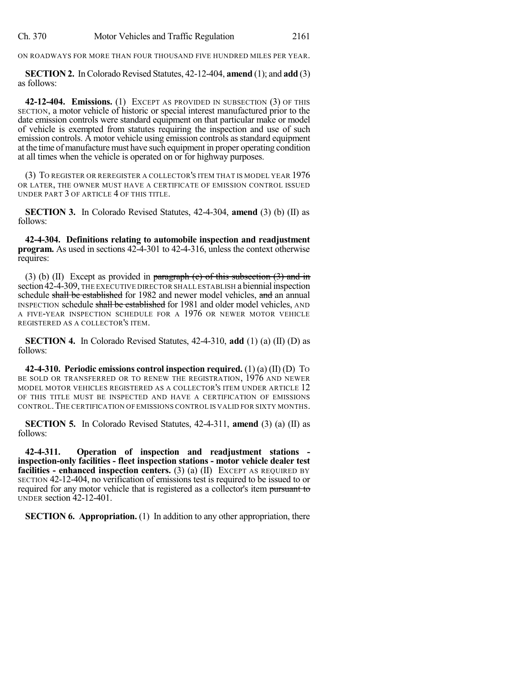| Ch. 370 | Motor Vehicles and Traffic Regulation | 2161 |
|---------|---------------------------------------|------|
|---------|---------------------------------------|------|

ON ROADWAYS FOR MORE THAN FOUR THOUSAND FIVE HUNDRED MILES PER YEAR.

**SECTION 2.** In Colorado Revised Statutes, 42-12-404, **amend** (1); and **add** (3) as follows:

**42-12-404. Emissions.** (1) EXCEPT AS PROVIDED IN SUBSECTION (3) OF THIS SECTION, a motor vehicle of historic or special interest manufactured prior to the date emission controls were standard equipment on that particular make or model of vehicle is exempted from statutes requiring the inspection and use of such emission controls. A motor vehicle using emission controls as standard equipment at the time of manufacture must have such equipment in proper operating condition at all times when the vehicle is operated on or for highway purposes.

(3) TO REGISTER OR REREGISTER A COLLECTOR'S ITEM THAT IS MODEL YEAR 1976 OR LATER, THE OWNER MUST HAVE A CERTIFICATE OF EMISSION CONTROL ISSUED UNDER PART 3 OF ARTICLE 4 OF THIS TITLE.

**SECTION 3.** In Colorado Revised Statutes, 42-4-304, **amend** (3) (b) (II) as follows:

**42-4-304. Definitions relating to automobile inspection and readjustment program.** As used in sections 42-4-301 to 42-4-316, unless the context otherwise requires:

(3) (b) (II) Except as provided in paragraph (c) of this subsection  $(3)$  and in section 42-4-309, THE EXECUTIVE DIRECTOR SHALL ESTABLISH a biennial inspection schedule shall be established for 1982 and newer model vehicles, and an annual INSPECTION schedule shall be established for 1981 and older model vehicles, AND A FIVE-YEAR INSPECTION SCHEDULE FOR A 1976 OR NEWER MOTOR VEHICLE REGISTERED AS A COLLECTOR'S ITEM.

**SECTION 4.** In Colorado Revised Statutes, 42-4-310, **add** (1) (a) (II) (D) as follows:

**42-4-310. Periodic emissions control inspection required.** (1) (a) (II) (D) TO BE SOLD OR TRANSFERRED OR TO RENEW THE REGISTRATION, 1976 AND NEWER MODEL MOTOR VEHICLES REGISTERED AS A COLLECTOR'S ITEM UNDER ARTICLE 12 OF THIS TITLE MUST BE INSPECTED AND HAVE A CERTIFICATION OF EMISSIONS CONTROL.THE CERTIFICATION OF EMISSIONS CONTROL IS VALID FOR SIXTY MONTHS.

**SECTION 5.** In Colorado Revised Statutes, 42-4-311, **amend** (3) (a) (II) as follows:

**42-4-311. Operation of inspection and readjustment stations inspection-only facilities - fleet inspection stations - motor vehicle dealer test facilities - enhanced inspection centers.** (3) (a) (II) EXCEPT AS REQUIRED BY SECTION 42-12-404, no verification of emissions test is required to be issued to or required for any motor vehicle that is registered as a collector's item pursuant to UNDER section 42-12-401.

**SECTION 6. Appropriation.** (1) In addition to any other appropriation, there